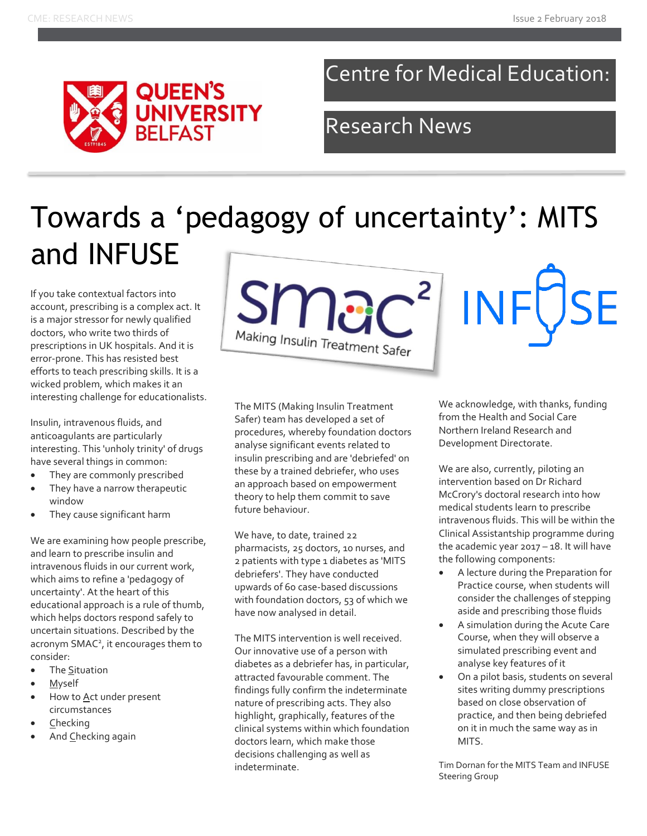

### Centre for Medical Education:

### Research News

# Towards a 'pedagogy of uncertainty': MITS and INFUSE

If you take contextual factors into account, prescribing is a complex act. It is a major stressor for newly qualified doctors, who write two thirds of prescriptions in UK hospitals. And it is error-prone. This has resisted best efforts to teach prescribing skills. It is a wicked problem, which makes it an interesting challenge for educationalists.

Insulin, intravenous fluids, and anticoagulants are particularly interesting. This 'unholy trinity' of drugs have several things in common:

- They are commonly prescribed
- They have a narrow therapeutic window
- They cause significant harm

We are examining how people prescribe, and learn to prescribe insulin and intravenous fluids in our current work, which aims to refine a 'pedagogy of uncertainty'. At the heart of this educational approach is a rule of thumb, which helps doctors respond safely to uncertain situations. Described by the acronym SMAC<sup>2</sup>, it encourages them to consider:

- The Situation
- Myself
- How to Act under present circumstances
- Checking
- And Checking again



The MITS (Making Insulin Treatment Safer) team has developed a set of procedures, whereby foundation doctors analyse significant events related to insulin prescribing and are 'debriefed' on these by a trained debriefer, who uses an approach based on empowerment theory to help them commit to save future behaviour.

We have, to date, trained 22 pharmacists, 25 doctors, 10 nurses, and 2 patients with type 1 diabetes as 'MITS debriefers'. They have conducted upwards of 60 case-based discussions with foundation doctors, 53 of which we have now analysed in detail.

The MITS intervention is well received. Our innovative use of a person with diabetes as a debriefer has, in particular, attracted favourable comment. The findings fully confirm the indeterminate nature of prescribing acts. They also highlight, graphically, features of the clinical systems within which foundation doctors learn, which make those decisions challenging as well as indeterminate.

We acknowledge, with thanks, funding from the Health and Social Care Northern Ireland Research and Development Directorate.

**INF** 

We are also, currently, piloting an intervention based on Dr Richard McCrory's doctoral research into how medical students learn to prescribe intravenous fluids. This will be within the Clinical Assistantship programme during the academic year  $2017 - 18$ . It will have the following components:

- A lecture during the Preparation for Practice course, when students will consider the challenges of stepping aside and prescribing those fluids
- A simulation during the Acute Care Course, when they will observe a simulated prescribing event and analyse key features of it
- On a pilot basis, students on several sites writing dummy prescriptions based on close observation of practice, and then being debriefed on it in much the same way as in MITS.

Tim Dornan for the MITS Team and INFUSE Steering Group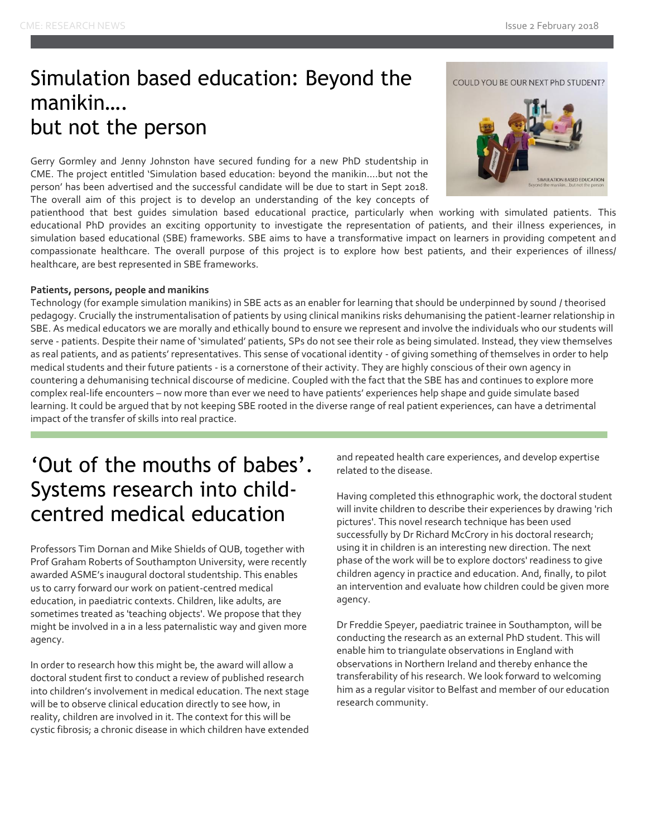#### Simulation based education: Beyond the manikin…. but not the person

Gerry Gormley and Jenny Johnston have secured funding for a new PhD studentship in CME. The project entitled 'Simulation based education: beyond the manikin….but not the person' has been advertised and the successful candidate will be due to start in Sept 2018. The overall aim of this project is to develop an understanding of the key concepts of

patienthood that best guides simulation based educational practice, particularly when working with simulated patients. This educational PhD provides an exciting opportunity to investigate the representation of patients, and their illness experiences, in simulation based educational (SBE) frameworks. SBE aims to have a transformative impact on learners in providing competent and compassionate healthcare. The overall purpose of this project is to explore how best patients, and their experiences of illness/ healthcare, are best represented in SBE frameworks.

#### **Patients, persons, people and manikins**

Technology (for example simulation manikins) in SBE acts as an enabler for learning that should be underpinned by sound / theorised pedagogy. Crucially the instrumentalisation of patients by using clinical manikins risks dehumanising the patient-learner relationship in SBE. As medical educators we are morally and ethically bound to ensure we represent and involve the individuals who our students will serve - patients. Despite their name of 'simulated' patients, SPs do not see their role as being simulated. Instead, they view themselves as real patients, and as patients' representatives. This sense of vocational identity - of giving something of themselves in order to help medical students and their future patients - is a cornerstone of their activity. They are highly conscious of their own agency in countering a dehumanising technical discourse of medicine. Coupled with the fact that the SBE has and continues to explore more complex real-life encounters – now more than ever we need to have patients' experiences help shape and guide simulate based learning. It could be argued that by not keeping SBE rooted in the diverse range of real patient experiences, can have a detrimental impact of the transfer of skills into real practice.

#### 'Out of the mouths of babes'. Systems research into childcentred medical education

Professors Tim Dornan and Mike Shields of QUB, together with Prof Graham Roberts of Southampton University, were recently awarded ASME's inaugural doctoral studentship. This enables us to carry forward our work on patient-centred medical education, in paediatric contexts. Children, like adults, are sometimes treated as 'teaching objects'. We propose that they might be involved in a in a less paternalistic way and given more agency.

In order to research how this might be, the award will allow a doctoral student first to conduct a review of published research into children's involvement in medical education. The next stage will be to observe clinical education directly to see how, in reality, children are involved in it. The context for this will be cystic fibrosis; a chronic disease in which children have extended

and repeated health care experiences, and develop expertise related to the disease.

Having completed this ethnographic work, the doctoral student will invite children to describe their experiences by drawing 'rich pictures'. This novel research technique has been used successfully by Dr Richard McCrory in his doctoral research; using it in children is an interesting new direction. The next phase of the work will be to explore doctors' readiness to give children agency in practice and education. And, finally, to pilot an intervention and evaluate how children could be given more agency.

Dr Freddie Speyer, paediatric trainee in Southampton, will be conducting the research as an external PhD student. This will enable him to triangulate observations in England with observations in Northern Ireland and thereby enhance the transferability of his research. We look forward to welcoming him as a regular visitor to Belfast and member of our education research community.

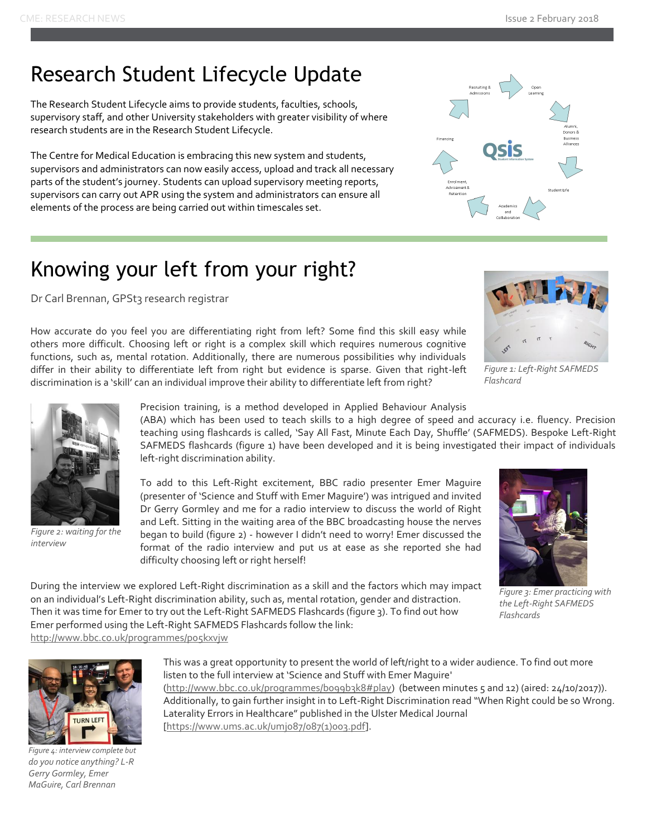#### Research Student Lifecycle Update

The Research Student Lifecycle aims to provide students, faculties, schools, supervisory staff, and other University stakeholders with greater visibility of where research students are in the Research Student Lifecycle.

The Centre for Medical Education is embracing this new system and students, supervisors and administrators can now easily access, upload and track all necessary parts of the student's journey. Students can upload supervisory meeting reports, supervisors can carry out APR using the system and administrators can ensure all elements of the process are being carried out within timescales set.



### Knowing your left from your right?

Dr Carl Brennan, GPSt3 research registrar

How accurate do you feel you are differentiating right from left? Some find this skill easy while others more difficult. Choosing left or right is a complex skill which requires numerous cognitive functions, such as, mental rotation. Additionally, there are numerous possibilities why individuals differ in their ability to differentiate left from right but evidence is sparse. Given that right-left discrimination is a 'skill' can an individual improve their ability to differentiate left from right?

During the interview we explored Left-Right discrimination as a skill and the factors which may impact on an individual's Left-Right discrimination ability, such as, mental rotation, gender and distraction. Then it was time for Emer to try out the Left-Right SAFMEDS Flashcards (figure 3). To find out how

Emer performed using the Left-Right SAFMEDS Flashcards follow the link:



*Figure 1: Left-Right SAFMEDS Flashcard*



*Figure 2: waiting for the interview*

Precision training, is a method developed in Applied Behaviour Analysis

(ABA) which has been used to teach skills to a high degree of speed and accuracy i.e. fluency. Precision teaching using flashcards is called, 'Say All Fast, Minute Each Day, Shuffle' (SAFMEDS). Bespoke Left-Right SAFMEDS flashcards (figure 1) have been developed and it is being investigated their impact of individuals left-right discrimination ability.

To add to this Left-Right excitement, BBC radio presenter Emer Maguire (presenter of 'Science and Stuff with Emer Maguire') was intrigued and invited Dr Gerry Gormley and me for a radio interview to discuss the world of Right and Left. Sitting in the waiting area of the BBC broadcasting house the nerves began to build (figure 2) - however I didn't need to worry! Emer discussed the format of the radio interview and put us at ease as she reported she had difficulty choosing left or right herself!



*Figure 3: Emer practicing with the Left-Right SAFMEDS Flashcards*



*Figure 4: interview complete but do you notice anything? L-R Gerry Gormley, Emer MaGuire, Carl Brennan*

This was a great opportunity to present the world of left/right to a wider audience. To find out more listen to the full interview at 'Science and Stuff with Emer Maguire' [\(http://www.bbc.co.uk/programmes/b099b3k8#play\)](http://www.bbc.co.uk/programmes/b099b3k8#play) (between minutes 5 and 12) (aired: 24/10/2017)). Additionally, to gain further insight in to Left-Right Discrimination read "When Right could be so Wrong. Laterality Errors in Healthcare" published in the Ulster Medical Journal [\[https://www.ums.ac.uk/umj087/087\(1\)003.pdf\]](https://www.ums.ac.uk/umj087/087(1)003.pdf).